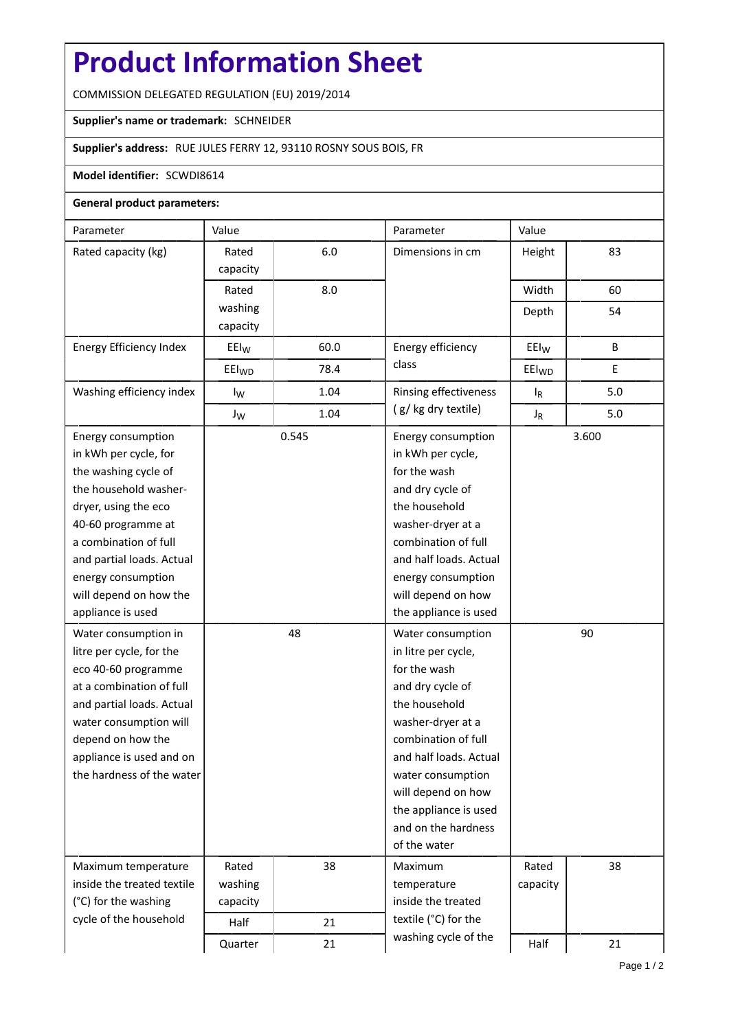# **Product Information Sheet**

COMMISSION DELEGATED REGULATION (EU) 2019/2014

## **Supplier's name or trademark:** SCHNEIDER

## **Supplier's address:** RUE JULES FERRY 12, 93110 ROSNY SOUS BOIS, FR

## **Model identifier:** SCWDI8614

#### **General product parameters:**

| Parameter                      | Value             |       | Parameter                                   | Value             |     |  |
|--------------------------------|-------------------|-------|---------------------------------------------|-------------------|-----|--|
| Rated capacity (kg)            | Rated             | 6.0   | Dimensions in cm                            | Height            | 83  |  |
|                                | capacity          |       |                                             |                   |     |  |
|                                | Rated             | 8.0   |                                             | Width             | 60  |  |
|                                | washing           |       |                                             | Depth             | 54  |  |
|                                | capacity          |       |                                             |                   |     |  |
| <b>Energy Efficiency Index</b> | $E E I_W$         | 60.0  | Energy efficiency                           | $E E I_W$         | B   |  |
|                                | EEI <sub>WD</sub> | 78.4  | class                                       | EEI <sub>WD</sub> | Ε   |  |
| Washing efficiency index       | $I_{W}$           | 1.04  | Rinsing effectiveness<br>(g/kg dry textile) | $I_R$             | 5.0 |  |
|                                | $J_{W}$           | 1.04  |                                             | $J_R$             | 5.0 |  |
| Energy consumption             |                   | 0.545 | Energy consumption<br>in kWh per cycle,     | 3.600             |     |  |
| in kWh per cycle, for          |                   |       |                                             |                   |     |  |
| the washing cycle of           |                   |       | for the wash                                |                   |     |  |
| the household washer-          |                   |       | and dry cycle of                            |                   |     |  |
| dryer, using the eco           |                   |       | the household                               |                   |     |  |
| 40-60 programme at             |                   |       | washer-dryer at a                           |                   |     |  |
| a combination of full          |                   |       | combination of full                         |                   |     |  |
| and partial loads. Actual      |                   |       | and half loads. Actual                      |                   |     |  |
| energy consumption             |                   |       | energy consumption                          |                   |     |  |
| will depend on how the         |                   |       | will depend on how                          |                   |     |  |
| appliance is used              |                   |       | the appliance is used                       |                   |     |  |
| Water consumption in           |                   | 48    | Water consumption                           | 90                |     |  |
| litre per cycle, for the       |                   |       | in litre per cycle,                         |                   |     |  |
| eco 40-60 programme            |                   |       | for the wash                                |                   |     |  |
| at a combination of full       |                   |       | and dry cycle of                            |                   |     |  |
| and partial loads. Actual      |                   |       | the household                               |                   |     |  |
| water consumption will         |                   |       | washer-dryer at a                           |                   |     |  |
| depend on how the              |                   |       | combination of full                         |                   |     |  |
| appliance is used and on       |                   |       | and half loads. Actual                      |                   |     |  |
| the hardness of the water      |                   |       | water consumption                           |                   |     |  |
|                                |                   |       | will depend on how                          |                   |     |  |
|                                |                   |       | the appliance is used                       |                   |     |  |
|                                |                   |       | and on the hardness                         |                   |     |  |
|                                |                   |       | of the water                                |                   |     |  |
| Maximum temperature            | Rated             | 38    | Maximum                                     | Rated             | 38  |  |
| inside the treated textile     | washing           |       | temperature                                 | capacity          |     |  |
| (°C) for the washing           | capacity          |       | inside the treated                          |                   |     |  |
| cycle of the household         | Half              | 21    | textile (°C) for the                        |                   |     |  |
|                                | Quarter           | 21    | washing cycle of the                        | Half              | 21  |  |